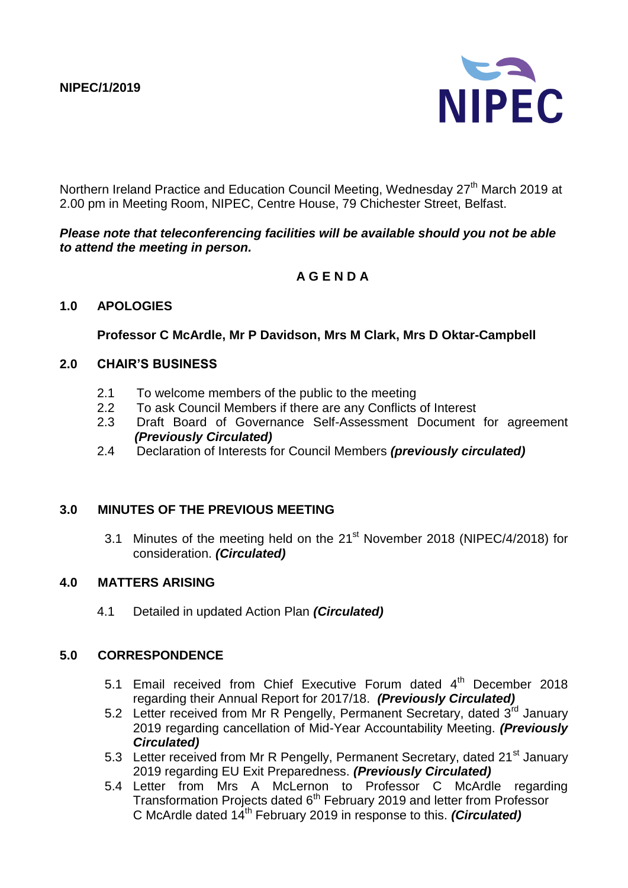

Northern Ireland Practice and Education Council Meeting, Wednesday 27<sup>th</sup> March 2019 at 2.00 pm in Meeting Room, NIPEC, Centre House, 79 Chichester Street, Belfast.

#### *Please note that teleconferencing facilities will be available should you not be able to attend the meeting in person.*

## **A G E N D A**

#### **1.0 APOLOGIES**

**Professor C McArdle, Mr P Davidson, Mrs M Clark, Mrs D Oktar-Campbell**

#### **2.0 CHAIR'S BUSINESS**

- 2.1 To welcome members of the public to the meeting
- 2.2 To ask Council Members if there are any Conflicts of Interest
- 2.3 Draft Board of Governance Self-Assessment Document for agreement *(Previously Circulated)*
- 2.4 Declaration of Interests for Council Members *(previously circulated)*

#### **3.0 MINUTES OF THE PREVIOUS MEETING**

3.1 Minutes of the meeting held on the 21<sup>st</sup> November 2018 (NIPEC/4/2018) for consideration. *(Circulated)*

#### **4.0 MATTERS ARISING**

4.1 Detailed in updated Action Plan *(Circulated)*

#### **5.0 CORRESPONDENCE**

- 5.1 Email received from Chief Executive Forum dated  $4<sup>th</sup>$  December 2018 regarding their Annual Report for 2017/18. *(Previously Circulated)*
- 5.2 Letter received from Mr R Pengelly, Permanent Secretary, dated 3rd January 2019 regarding cancellation of Mid-Year Accountability Meeting. *(Previously Circulated)*
- 5.3 Letter received from Mr R Pengelly, Permanent Secretary, dated 21<sup>st</sup> January 2019 regarding EU Exit Preparedness. *(Previously Circulated)*
- 5.4 Letter from Mrs A McLernon to Professor C McArdle regarding Transformation Projects dated 6<sup>th</sup> February 2019 and letter from Professor C McArdle dated 14th February 2019 in response to this. *(Circulated)*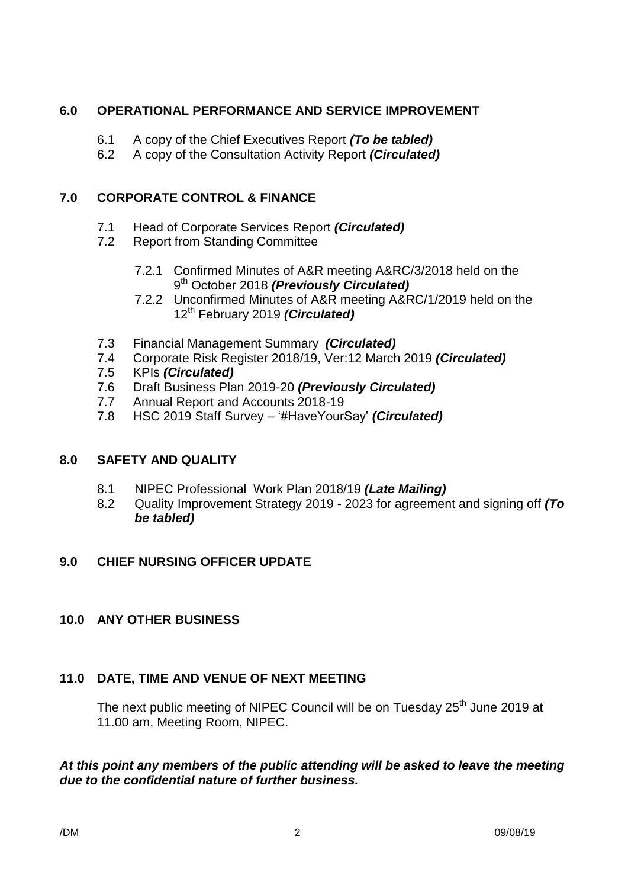## **6.0 OPERATIONAL PERFORMANCE AND SERVICE IMPROVEMENT**

- 6.1 A copy of the Chief Executives Report *(To be tabled)*
- 6.2 A copy of the Consultation Activity Report *(Circulated)*

# **7.0 CORPORATE CONTROL & FINANCE**

- 7.1 Head of Corporate Services Report *(Circulated)*
- 7.2 Report from Standing Committee
	- 7.2.1 Confirmed Minutes of A&R meeting A&RC/3/2018 held on the 9<sup>th</sup> October 2018 (Previously Circulated)
	- 7.2.2 Unconfirmed Minutes of A&R meeting A&RC/1/2019 held on the 12th February 2019 *(Circulated)*
- 7.3 Financial Management Summary *(Circulated)*
- 7.4 Corporate Risk Register 2018/19, Ver:12 March 2019 *(Circulated)*
- 7.5 KPIs *(Circulated)*
- 7.6 Draft Business Plan 2019-20 *(Previously Circulated)*
- 7.7 Annual Report and Accounts 2018-19
- 7.8 HSC 2019 Staff Survey '#HaveYourSay' *(Circulated)*

# **8.0 SAFETY AND QUALITY**

- 8.1 NIPEC Professional Work Plan 2018/19 *(Late Mailing)*
- 8.2 Quality Improvement Strategy 2019 2023 for agreement and signing off *(To be tabled)*

# **9.0 CHIEF NURSING OFFICER UPDATE**

## **10.0 ANY OTHER BUSINESS**

# **11.0 DATE, TIME AND VENUE OF NEXT MEETING**

The next public meeting of NIPEC Council will be on Tuesday 25<sup>th</sup> June 2019 at 11.00 am, Meeting Room, NIPEC.

### *At this point any members of the public attending will be asked to leave the meeting due to the confidential nature of further business.*